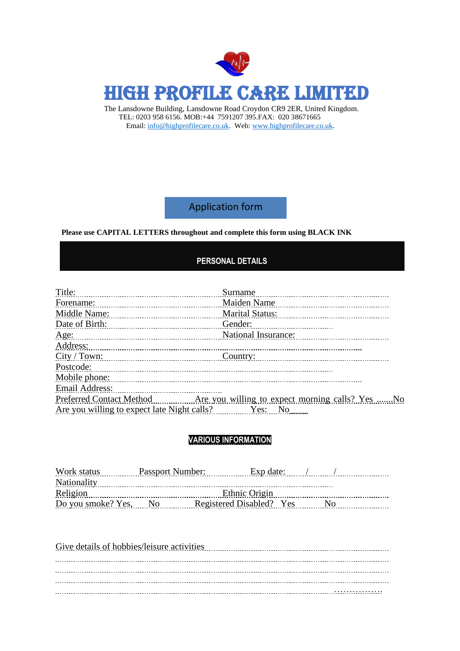

The Lansdowne Building, Lansdowne Road Croydon CR9 2ER, United Kingdom. TEL: 0203 958 6156. MOB:+44 7591207 395.FAX: 020 38671665 Email: [info@highprofilecare.co.uk.](mailto:info@highprofilecare.co.uk) Web[: www.highprofilecare.co.uk.](http://www.highprofilecare.co.uk/)

Application form

#### **Please use CAPITAL LETTERS throughout and complete this form using BLACK INK**

#### **PERSONAL DETAILS**

| Title: Title: 2000 Million Communication Communication Communication Communication Communication Communication Communication Communication Communication Communication Communication Communication Communication Communication | Surname                |
|--------------------------------------------------------------------------------------------------------------------------------------------------------------------------------------------------------------------------------|------------------------|
| Forename:                                                                                                                                                                                                                      | Maiden Name            |
| Middle Name:                                                                                                                                                                                                                   | <b>Marital Status:</b> |
|                                                                                                                                                                                                                                | Gender:                |
|                                                                                                                                                                                                                                | National Insurance:    |
| Address: 2008 and 2008 and 2008 and 2008 and 2008 and 2008 and 2008 and 2008 and 2008 and 2008 and 2008 and 2008 and 2008 and 2008 and 2008 and 2008 and 2008 and 2008 and 2008 and 2008 and 2008 and 2008 and 2008 and 2008 a |                        |
|                                                                                                                                                                                                                                |                        |
| Postcode:                                                                                                                                                                                                                      |                        |
| Mobile phone: Mobile phone: The contract of the contract of the contract of the contract of the contract of the contract of the contract of the contract of the contract of the contract of the contract of the contract of th |                        |
| <b>Email Address:</b>                                                                                                                                                                                                          |                        |
|                                                                                                                                                                                                                                |                        |
| Are you willing to expect late Night calls? Yes: No                                                                                                                                                                            |                        |
|                                                                                                                                                                                                                                |                        |

#### **VARIOUS INFORMATION**

|                       | Ethnic Origin |                  |                                       |  |
|-----------------------|---------------|------------------|---------------------------------------|--|
| Do you smoke? Yes, No |               |                  | N <sub>0</sub>                        |  |
|                       |               | Passport Number: | Exp date:<br>Registered Disabled? Yes |  |

| Give details of hobbies/leisure activities |  |
|--------------------------------------------|--|
|                                            |  |
|                                            |  |
|                                            |  |
|                                            |  |
|                                            |  |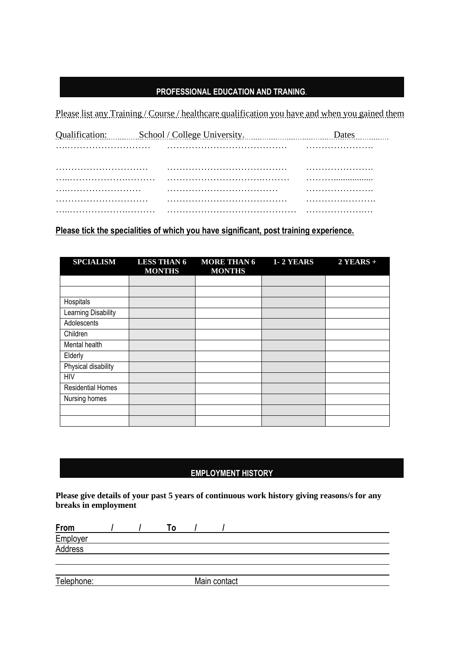#### **PROFESSIONAL EDUCATION AND TRANING**.

Please list any Training / Course / healthcare qualification you have and when you gained them

|  | Qualification: School / College University. |  |
|--|---------------------------------------------|--|
|  |                                             |  |
|  |                                             |  |
|  |                                             |  |
|  |                                             |  |
|  |                                             |  |
|  |                                             |  |
|  |                                             |  |

### **Please tick the specialities of which you have significant, post training experience.**

| <b>SPCIALISM</b>         | <b>LESS THAN 6</b><br><b>MONTHS</b> | <b>MORE THAN 6</b><br><b>MONTHS</b> | <b>1-2 YEARS</b> | $2$ YEARS + |
|--------------------------|-------------------------------------|-------------------------------------|------------------|-------------|
|                          |                                     |                                     |                  |             |
|                          |                                     |                                     |                  |             |
| Hospitals                |                                     |                                     |                  |             |
| Learning Disability      |                                     |                                     |                  |             |
| Adolescents              |                                     |                                     |                  |             |
| Children                 |                                     |                                     |                  |             |
| Mental health            |                                     |                                     |                  |             |
| Elderly                  |                                     |                                     |                  |             |
| Physical disability      |                                     |                                     |                  |             |
| <b>HIV</b>               |                                     |                                     |                  |             |
| <b>Residential Homes</b> |                                     |                                     |                  |             |
| Nursing homes            |                                     |                                     |                  |             |
|                          |                                     |                                     |                  |             |
|                          |                                     |                                     |                  |             |

### **EMPLOYMENT HISTORY**

**Please give details of your past 5 years of continuous work history giving reasons/s for any breaks in employment**

| <u>From</u>         |  | <u> 0</u> |              |  |  |
|---------------------|--|-----------|--------------|--|--|
|                     |  |           |              |  |  |
| Employer<br>Address |  |           |              |  |  |
|                     |  |           |              |  |  |
|                     |  |           |              |  |  |
| Telephone:          |  |           | Main contact |  |  |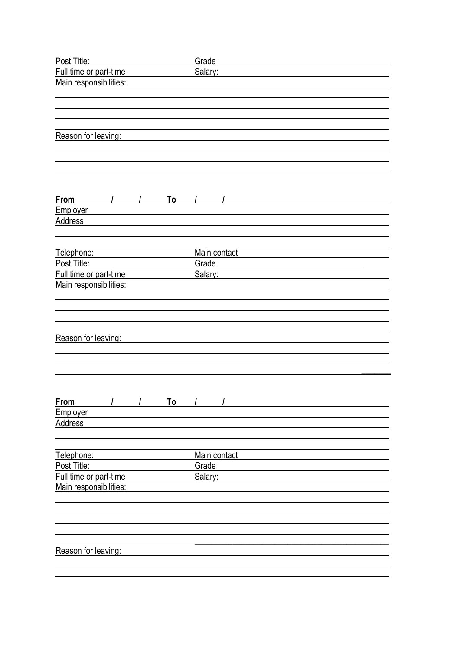| Post Title:               | Grade        |
|---------------------------|--------------|
| Full time or part-time    | Salary:      |
| Main responsibilities:    |              |
|                           |              |
|                           |              |
|                           |              |
| Reason for leaving:       |              |
|                           |              |
|                           |              |
|                           |              |
|                           |              |
|                           |              |
| <b>From</b>               |              |
| Employer                  |              |
| <b>Address</b>            |              |
|                           |              |
|                           |              |
| Telephone:                | Main contact |
| Post Title:               | Grade        |
| Full time or part-time    | Salary:      |
| Main responsibilities:    |              |
|                           |              |
|                           |              |
|                           |              |
|                           |              |
| Reason for leaving:       |              |
|                           |              |
|                           |              |
|                           |              |
|                           |              |
| <b>From</b><br>/ / To / / |              |
| Employer                  |              |
| <b>Address</b>            |              |
|                           |              |
|                           |              |
| Telephone:                | Main contact |
| Post Title:               | Grade        |
| Full time or part-time    | Salary:      |
| Main responsibilities:    |              |
|                           |              |
|                           |              |
|                           |              |
|                           |              |
|                           |              |
| Reason for leaving:       |              |
|                           |              |
|                           |              |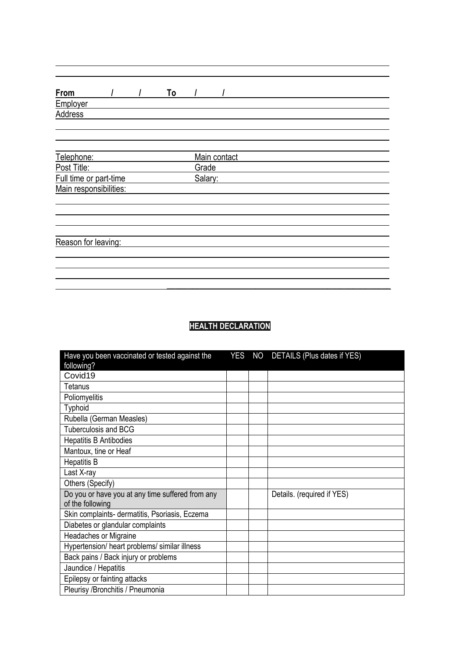|  | To | Main contact<br>Grade<br>Salary: |  |  |
|--|----|----------------------------------|--|--|

# **HEALTH DECLARATION**

| Have you been vaccinated or tested against the   |  | YES NO DETAILS (Plus dates if YES) |
|--------------------------------------------------|--|------------------------------------|
| following?                                       |  |                                    |
| Covid19                                          |  |                                    |
| Tetanus                                          |  |                                    |
| Poliomyelitis                                    |  |                                    |
| Typhoid                                          |  |                                    |
| Rubella (German Measles)                         |  |                                    |
| <b>Tuberculosis and BCG</b>                      |  |                                    |
| <b>Hepatitis B Antibodies</b>                    |  |                                    |
| Mantoux, tine or Heaf                            |  |                                    |
| <b>Hepatitis B</b>                               |  |                                    |
| Last X-ray                                       |  |                                    |
| Others (Specify)                                 |  |                                    |
| Do you or have you at any time suffered from any |  | Details. (required if YES)         |
| of the following                                 |  |                                    |
| Skin complaints- dermatitis, Psoriasis, Eczema   |  |                                    |
| Diabetes or glandular complaints                 |  |                                    |
| Headaches or Migraine                            |  |                                    |
| Hypertension/ heart problems/ similar illness    |  |                                    |
| Back pains / Back injury or problems             |  |                                    |
| Jaundice / Hepatitis                             |  |                                    |
| Epilepsy or fainting attacks                     |  |                                    |
| Pleurisy / Bronchitis / Pneumonia                |  |                                    |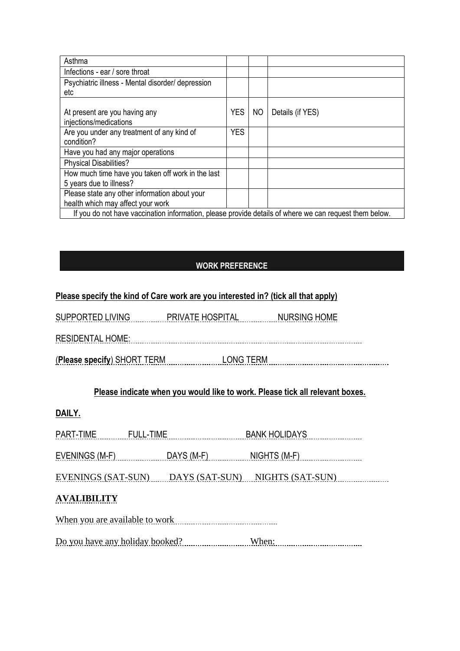| Asthma                                                                                                 |            |     |                  |  |
|--------------------------------------------------------------------------------------------------------|------------|-----|------------------|--|
| Infections - ear / sore throat                                                                         |            |     |                  |  |
| Psychiatric illness - Mental disorder/ depression                                                      |            |     |                  |  |
| etc                                                                                                    |            |     |                  |  |
| At present are you having any<br>injections/medications                                                | <b>YES</b> | NO. | Details (if YES) |  |
| Are you under any treatment of any kind of                                                             | <b>YES</b> |     |                  |  |
| condition?                                                                                             |            |     |                  |  |
| Have you had any major operations                                                                      |            |     |                  |  |
| <b>Physical Disabilities?</b>                                                                          |            |     |                  |  |
| How much time have you taken off work in the last                                                      |            |     |                  |  |
| 5 years due to illness?                                                                                |            |     |                  |  |
| Please state any other information about your                                                          |            |     |                  |  |
| health which may affect your work                                                                      |            |     |                  |  |
| If you do not have vaccination information, please provide details of where we can request them below. |            |     |                  |  |

## **WORK PREFERENCE**

## **Please specify the kind of Care work are you interested in? (tick all that apply)**

| <b>SUPPORTED LIVING</b>     | PRIVATE HOSPITAL | NURSING HOME |
|-----------------------------|------------------|--------------|
|                             |                  |              |
| <b>RESIDENTAL HOME:</b>     |                  |              |
| (Please specify) SHORT TERM | LONG TERM        |              |

# **Please indicate when you would like to work. Please tick all relevant boxes.**

# **DAILY.**

EVENINGS (M-F) DAYS (M-F) NIGHTS (M-F)

EVENINGS (SAT-SUN) DAYS (SAT-SUN) NIGHTS (SAT-SUN)

# **AVALIBILITY**

When you are available to work

Do you have any holiday booked? When: When: When: When: When: When: When: When: When: When: When: When: When: When: When: When: When: When: When: When: When: When: When: When: When: When: When: When: When: When: When: When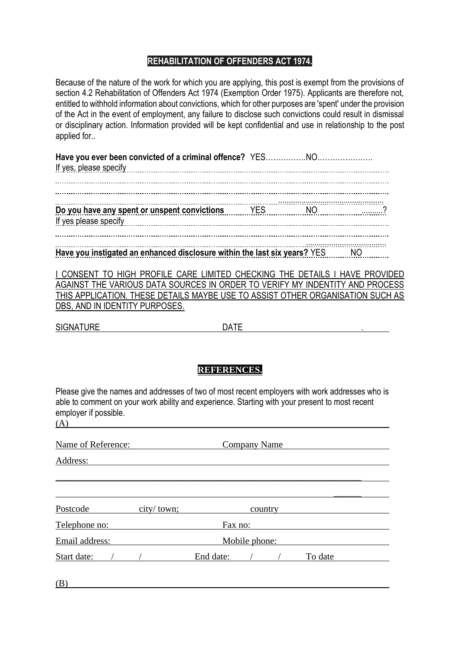## **REHABILITATION OF OFFENDERS ACT 1974.**

Because of the nature of the work for which you are applying, this post is exempt from the provisions of section 4.2 Rehabilitation of Offenders Act 1974 (Exemption Order 1975). Applicants are therefore not, entitled to withhold information about convictions, which for other purposes are 'spent' under the provision of the Act in the event of employment, any failure to disclose such convictions could result in dismissal or disciplinary action. Information provided will be kept confidential and use in relationship to the post applied for..

| Have you instigated an enhanced disclosure within the last six years? YES NO |  |  |
|------------------------------------------------------------------------------|--|--|

I CONSENT TO HIGH PROFILE CARE LIMITED CHECKING THE DETAILS I HAVE PROVIDED AGAINST THE VARIOUS DATA SOURCES IN ORDER TO VERIFY MY INDENTITY AND PROCESS THIS APPLICATION. THESE DETAILS MAYBE USE TO ASSIST OTHER ORGANISATION SUCH AS DBS, AND IN IDENTITY PURPOSES.

SIGNATURE DATE

## **REFERENCES.**

Please give the names and addresses of two of most recent employers with work addresses who is able to comment on your work ability and experience. Starting with your present to most recent employer if possible.

| Name of Reference: |              | <b>Company Name</b>  |  |
|--------------------|--------------|----------------------|--|
| Address:           |              |                      |  |
|                    |              |                      |  |
| Postcode           | city / town; | country              |  |
| Telephone no:      |              | Fax no:              |  |
| Email address:     |              | Mobile phone:        |  |
| Start date:        |              | End date:<br>To date |  |

(B)

 $(A)$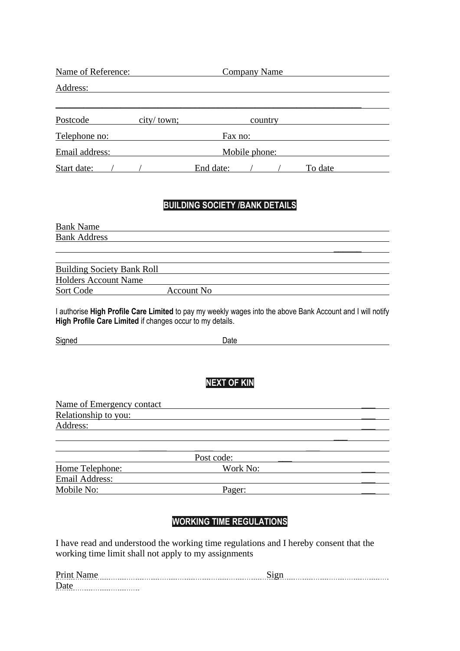| Name of Reference: |              | <b>Company Name</b> |         |  |         |  |
|--------------------|--------------|---------------------|---------|--|---------|--|
| Address:           |              |                     |         |  |         |  |
| Postcode           | city / town; |                     | country |  |         |  |
| Telephone no:      |              | Fax no:             |         |  |         |  |
| Email address:     |              | Mobile phone:       |         |  |         |  |
| Start date:        |              | End date:           |         |  | To date |  |

#### **BUILDING SOCIETY /BANK DETAILS**

Bank Name Bank Address  $\mathcal{L}_\text{max}$  and  $\mathcal{L}_\text{max}$  are the set of  $\mathcal{L}_\text{max}$  . The set of  $\mathcal{L}_\text{max}$ 

| <b>Building Society Bank Roll</b> |            |  |
|-----------------------------------|------------|--|
| <b>Holders Account Name</b>       |            |  |
| Sort Code                         | Account No |  |

I authorise **High Profile Care Limited** to pay my weekly wages into the above Bank Account and I will notify **High Profile Care Limited** if changes occur to my details.

| <b></b><br>Signed | Jate<br>- |  |
|-------------------|-----------|--|
|                   |           |  |

# **NEXT OF KIN**

| Name of Emergency contact |  |
|---------------------------|--|
| Relationship to you:      |  |
| Address:                  |  |
|                           |  |
|                           |  |
| Post code:                |  |

| T OUL COULD.    |          |  |  |
|-----------------|----------|--|--|
| Home Telephone: | Work No: |  |  |
| Email Address:  |          |  |  |
| Mobile No:      | Pager:   |  |  |

## **WORKING TIME REGULATIONS**

I have read and understood the working time regulations and I hereby consent that the working time limit shall not apply to my assignments

| Prin |  |
|------|--|
|      |  |